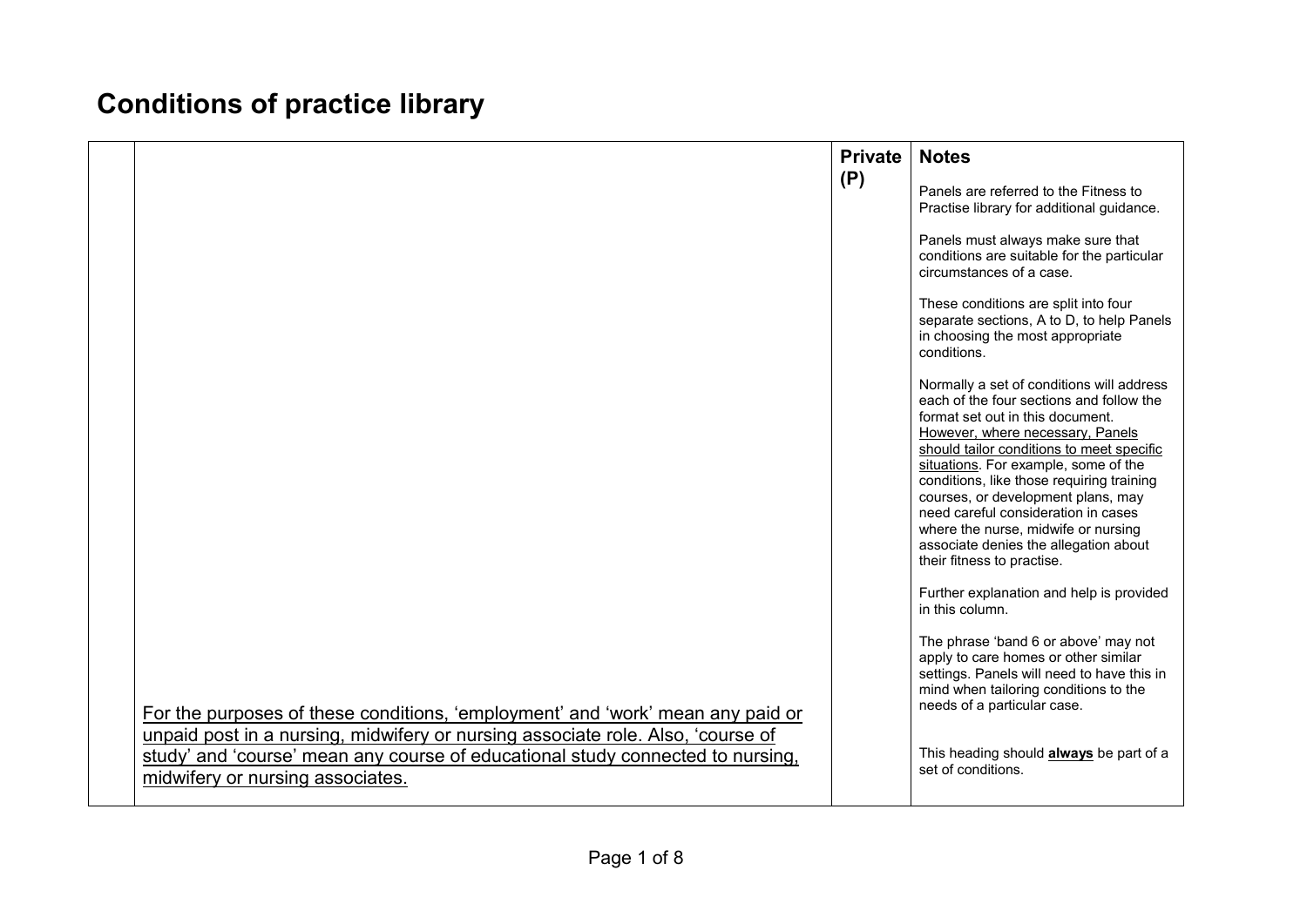## **Conditions of practice library**

|                                                                                                                                                                                                       | <b>Private</b><br>(P) | <b>Notes</b><br>Panels are referred to the Fitness to                                                                                                                                                                                                                                                                                 |
|-------------------------------------------------------------------------------------------------------------------------------------------------------------------------------------------------------|-----------------------|---------------------------------------------------------------------------------------------------------------------------------------------------------------------------------------------------------------------------------------------------------------------------------------------------------------------------------------|
|                                                                                                                                                                                                       |                       | Practise library for additional guidance.<br>Panels must always make sure that<br>conditions are suitable for the particular<br>circumstances of a case.                                                                                                                                                                              |
|                                                                                                                                                                                                       |                       | These conditions are split into four<br>separate sections, A to D, to help Panels<br>in choosing the most appropriate<br>conditions.                                                                                                                                                                                                  |
|                                                                                                                                                                                                       |                       | Normally a set of conditions will address<br>each of the four sections and follow the<br>format set out in this document.<br>However, where necessary, Panels<br>should tailor conditions to meet specific<br>situations. For example, some of the<br>conditions, like those requiring training<br>courses, or development plans, may |
|                                                                                                                                                                                                       |                       | need careful consideration in cases<br>where the nurse, midwife or nursing<br>associate denies the allegation about<br>their fitness to practise.                                                                                                                                                                                     |
|                                                                                                                                                                                                       |                       | Further explanation and help is provided<br>in this column.                                                                                                                                                                                                                                                                           |
| For the purposes of these conditions, 'employment' and 'work' mean any paid or                                                                                                                        |                       | The phrase 'band 6 or above' may not<br>apply to care homes or other similar<br>settings. Panels will need to have this in<br>mind when tailoring conditions to the<br>needs of a particular case.                                                                                                                                    |
| unpaid post in a nursing, midwifery or nursing associate role. Also, 'course of<br>study' and 'course' mean any course of educational study connected to nursing,<br>midwifery or nursing associates. |                       | This heading should <b>always</b> be part of a<br>set of conditions.                                                                                                                                                                                                                                                                  |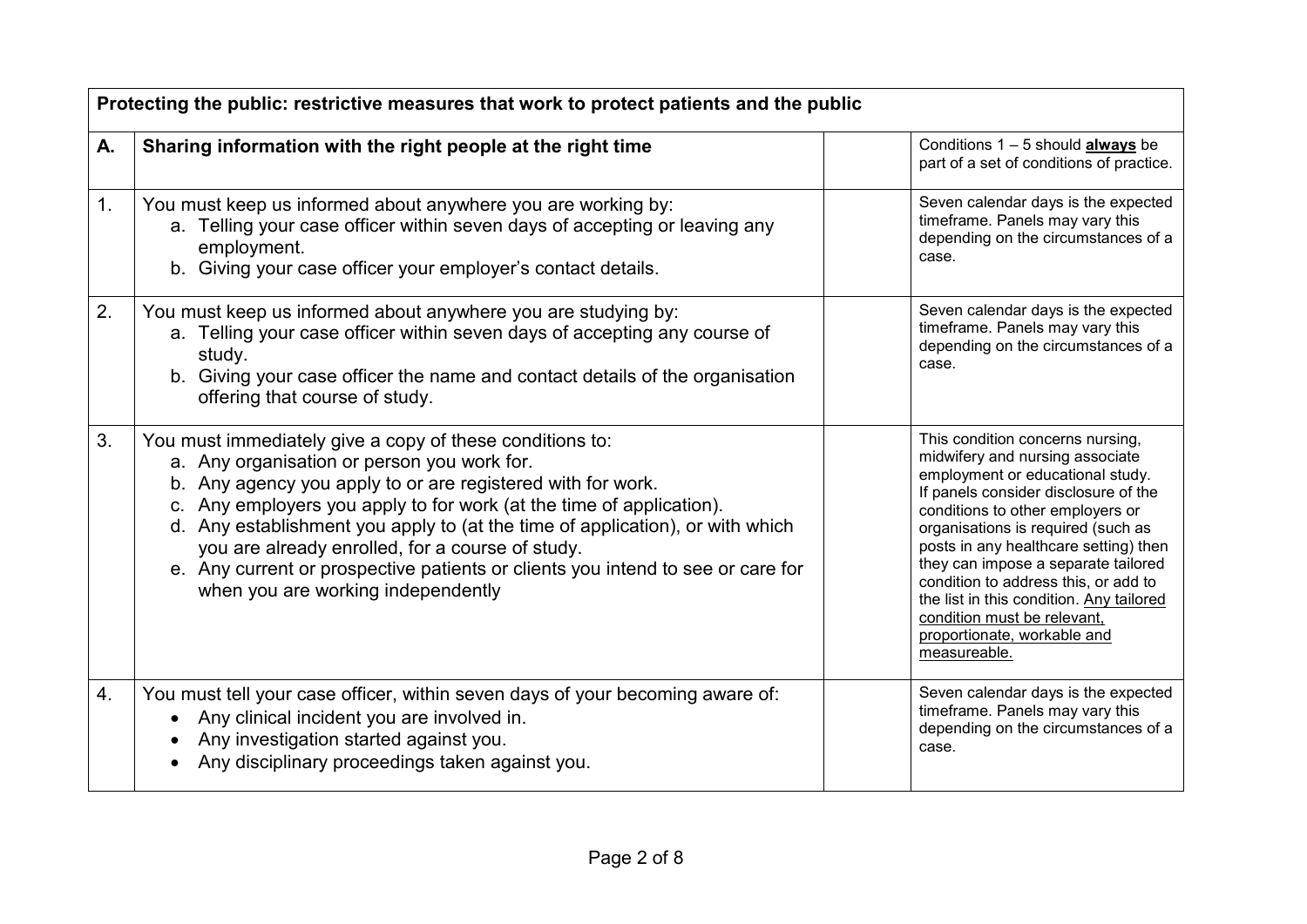| Protecting the public: restrictive measures that work to protect patients and the public |                                                                                                                                                                                                                                                                                                                                                                                                                                                                                                              |                                                                                                                                                                                                                                                                                                                                                                                                                                                                             |  |
|------------------------------------------------------------------------------------------|--------------------------------------------------------------------------------------------------------------------------------------------------------------------------------------------------------------------------------------------------------------------------------------------------------------------------------------------------------------------------------------------------------------------------------------------------------------------------------------------------------------|-----------------------------------------------------------------------------------------------------------------------------------------------------------------------------------------------------------------------------------------------------------------------------------------------------------------------------------------------------------------------------------------------------------------------------------------------------------------------------|--|
| А.                                                                                       | Sharing information with the right people at the right time                                                                                                                                                                                                                                                                                                                                                                                                                                                  | Conditions $1 - 5$ should <b>always</b> be<br>part of a set of conditions of practice.                                                                                                                                                                                                                                                                                                                                                                                      |  |
| 1.                                                                                       | You must keep us informed about anywhere you are working by:<br>a. Telling your case officer within seven days of accepting or leaving any<br>employment.<br>b. Giving your case officer your employer's contact details.                                                                                                                                                                                                                                                                                    | Seven calendar days is the expected<br>timeframe. Panels may vary this<br>depending on the circumstances of a<br>case.                                                                                                                                                                                                                                                                                                                                                      |  |
| 2.                                                                                       | You must keep us informed about anywhere you are studying by:<br>a. Telling your case officer within seven days of accepting any course of<br>study.<br>b. Giving your case officer the name and contact details of the organisation<br>offering that course of study.                                                                                                                                                                                                                                       | Seven calendar days is the expected<br>timeframe. Panels may vary this<br>depending on the circumstances of a<br>case.                                                                                                                                                                                                                                                                                                                                                      |  |
| 3.                                                                                       | You must immediately give a copy of these conditions to:<br>a. Any organisation or person you work for.<br>b. Any agency you apply to or are registered with for work.<br>c. Any employers you apply to for work (at the time of application).<br>d. Any establishment you apply to (at the time of application), or with which<br>you are already enrolled, for a course of study.<br>e. Any current or prospective patients or clients you intend to see or care for<br>when you are working independently | This condition concerns nursing,<br>midwifery and nursing associate<br>employment or educational study.<br>If panels consider disclosure of the<br>conditions to other employers or<br>organisations is required (such as<br>posts in any healthcare setting) then<br>they can impose a separate tailored<br>condition to address this, or add to<br>the list in this condition. Any tailored<br>condition must be relevant,<br>proportionate, workable and<br>measureable. |  |
| 4.                                                                                       | You must tell your case officer, within seven days of your becoming aware of:<br>Any clinical incident you are involved in.<br>Any investigation started against you.<br>Any disciplinary proceedings taken against you.                                                                                                                                                                                                                                                                                     | Seven calendar days is the expected<br>timeframe. Panels may vary this<br>depending on the circumstances of a<br>case.                                                                                                                                                                                                                                                                                                                                                      |  |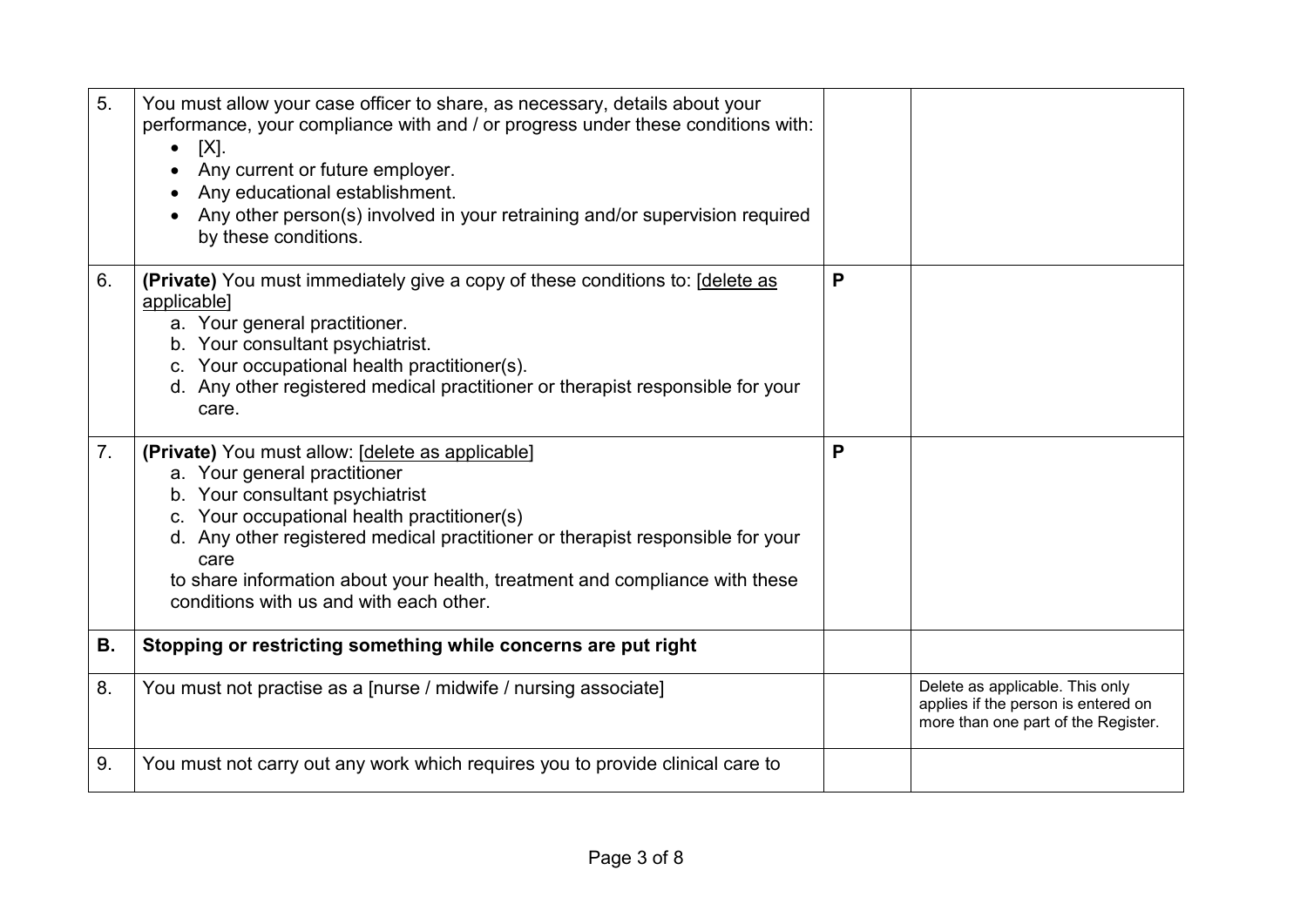| 5.             | You must allow your case officer to share, as necessary, details about your<br>performance, your compliance with and / or progress under these conditions with:<br>$[X]$ .<br>$\bullet$<br>Any current or future employer.<br>Any educational establishment.<br>Any other person(s) involved in your retraining and/or supervision required<br>by these conditions.                    |   |                                                                                                               |
|----------------|----------------------------------------------------------------------------------------------------------------------------------------------------------------------------------------------------------------------------------------------------------------------------------------------------------------------------------------------------------------------------------------|---|---------------------------------------------------------------------------------------------------------------|
| 6.             | (Private) You must immediately give a copy of these conditions to: [delete as<br>applicable]<br>a. Your general practitioner.<br>b. Your consultant psychiatrist.<br>c. Your occupational health practitioner(s).<br>d. Any other registered medical practitioner or therapist responsible for your<br>care.                                                                           | P |                                                                                                               |
| 7 <sub>1</sub> | (Private) You must allow: [delete as applicable]<br>a. Your general practitioner<br>b. Your consultant psychiatrist<br>c. Your occupational health practitioner(s)<br>d. Any other registered medical practitioner or therapist responsible for your<br>care<br>to share information about your health, treatment and compliance with these<br>conditions with us and with each other. | P |                                                                                                               |
| В.             | Stopping or restricting something while concerns are put right                                                                                                                                                                                                                                                                                                                         |   |                                                                                                               |
| 8.             | You must not practise as a [nurse / midwife / nursing associate]                                                                                                                                                                                                                                                                                                                       |   | Delete as applicable. This only<br>applies if the person is entered on<br>more than one part of the Register. |
| 9.             | You must not carry out any work which requires you to provide clinical care to                                                                                                                                                                                                                                                                                                         |   |                                                                                                               |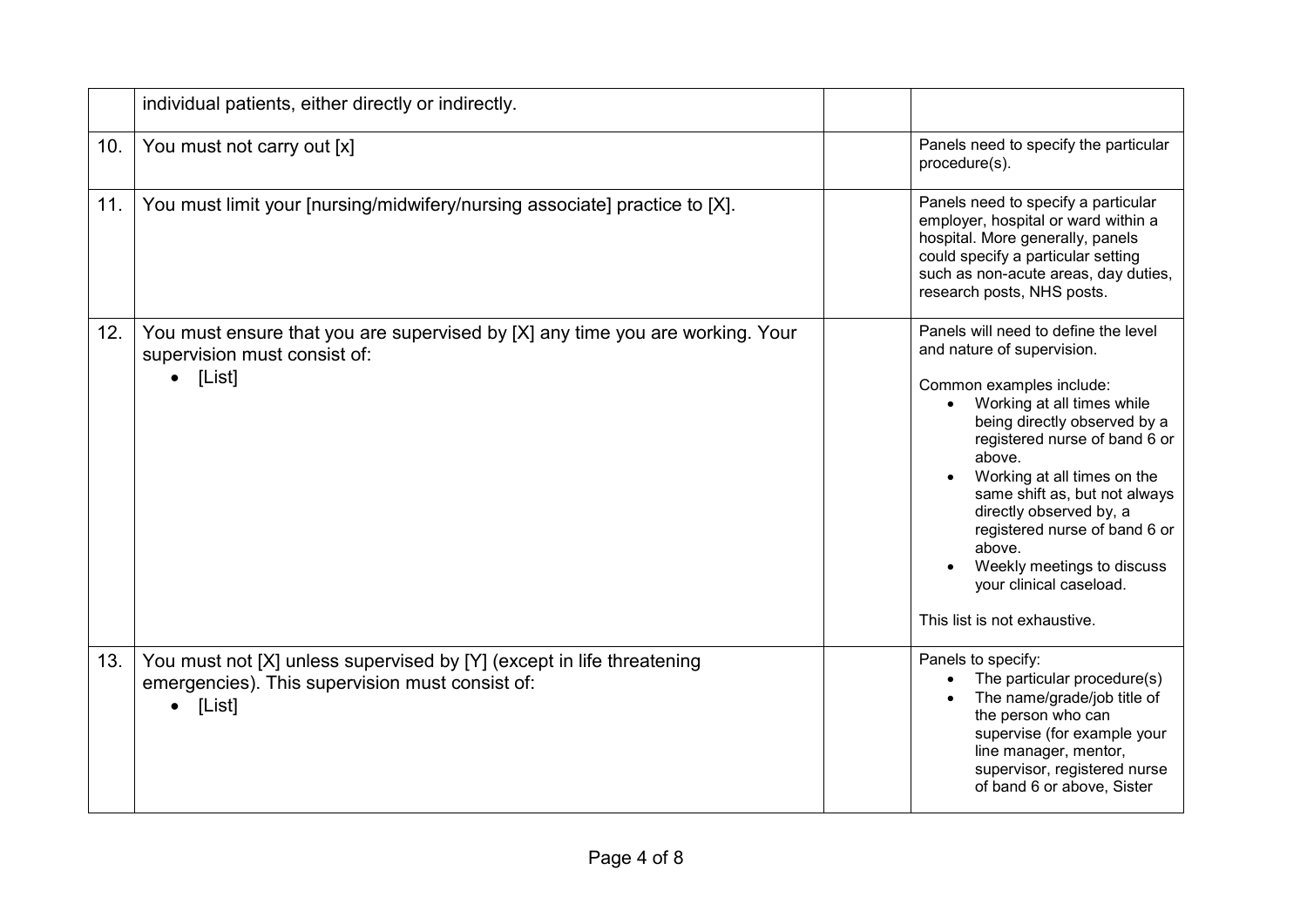|     | individual patients, either directly or indirectly.                                                                                |                                                                                                                                                                                                                                                                                                                                                                                                                                        |
|-----|------------------------------------------------------------------------------------------------------------------------------------|----------------------------------------------------------------------------------------------------------------------------------------------------------------------------------------------------------------------------------------------------------------------------------------------------------------------------------------------------------------------------------------------------------------------------------------|
| 10. | You must not carry out [x]                                                                                                         | Panels need to specify the particular<br>procedure(s).                                                                                                                                                                                                                                                                                                                                                                                 |
| 11. | You must limit your [nursing/midwifery/nursing associate] practice to [X].                                                         | Panels need to specify a particular<br>employer, hospital or ward within a<br>hospital. More generally, panels<br>could specify a particular setting<br>such as non-acute areas, day duties,<br>research posts, NHS posts.                                                                                                                                                                                                             |
| 12. | You must ensure that you are supervised by [X] any time you are working. Your<br>supervision must consist of:<br>[List]            | Panels will need to define the level<br>and nature of supervision.<br>Common examples include:<br>Working at all times while<br>being directly observed by a<br>registered nurse of band 6 or<br>above.<br>Working at all times on the<br>same shift as, but not always<br>directly observed by, a<br>registered nurse of band 6 or<br>above.<br>Weekly meetings to discuss<br>your clinical caseload.<br>This list is not exhaustive. |
| 13. | You must not [X] unless supervised by [Y] (except in life threatening<br>emergencies). This supervision must consist of:<br>[List] | Panels to specify:<br>The particular procedure(s)<br>The name/grade/job title of<br>the person who can<br>supervise (for example your<br>line manager, mentor,<br>supervisor, registered nurse<br>of band 6 or above, Sister                                                                                                                                                                                                           |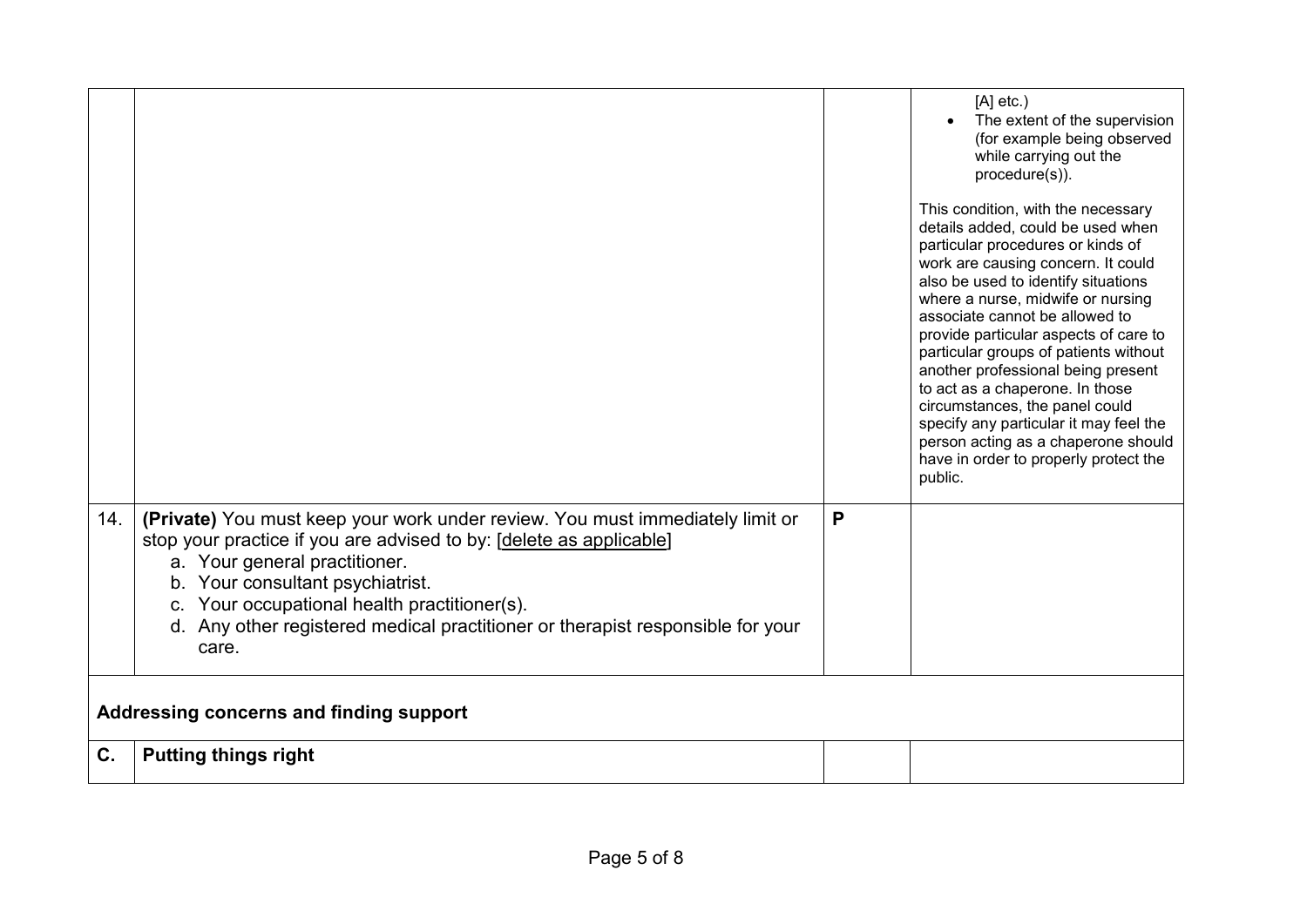|     |                                                                                                                                                                                                                                                                                                                                                                      |   | $[A]$ etc.)<br>The extent of the supervision<br>(for example being observed<br>while carrying out the<br>procedure(s)).<br>This condition, with the necessary<br>details added, could be used when<br>particular procedures or kinds of<br>work are causing concern. It could<br>also be used to identify situations<br>where a nurse, midwife or nursing<br>associate cannot be allowed to<br>provide particular aspects of care to<br>particular groups of patients without<br>another professional being present<br>to act as a chaperone. In those<br>circumstances, the panel could<br>specify any particular it may feel the<br>person acting as a chaperone should<br>have in order to properly protect the<br>public. |  |
|-----|----------------------------------------------------------------------------------------------------------------------------------------------------------------------------------------------------------------------------------------------------------------------------------------------------------------------------------------------------------------------|---|-------------------------------------------------------------------------------------------------------------------------------------------------------------------------------------------------------------------------------------------------------------------------------------------------------------------------------------------------------------------------------------------------------------------------------------------------------------------------------------------------------------------------------------------------------------------------------------------------------------------------------------------------------------------------------------------------------------------------------|--|
| 14. | (Private) You must keep your work under review. You must immediately limit or<br>stop your practice if you are advised to by: [delete as applicable]<br>a. Your general practitioner.<br>b. Your consultant psychiatrist.<br>c. Your occupational health practitioner(s).<br>d. Any other registered medical practitioner or therapist responsible for your<br>care. | P |                                                                                                                                                                                                                                                                                                                                                                                                                                                                                                                                                                                                                                                                                                                               |  |
|     | Addressing concerns and finding support                                                                                                                                                                                                                                                                                                                              |   |                                                                                                                                                                                                                                                                                                                                                                                                                                                                                                                                                                                                                                                                                                                               |  |
| C.  | <b>Putting things right</b>                                                                                                                                                                                                                                                                                                                                          |   |                                                                                                                                                                                                                                                                                                                                                                                                                                                                                                                                                                                                                                                                                                                               |  |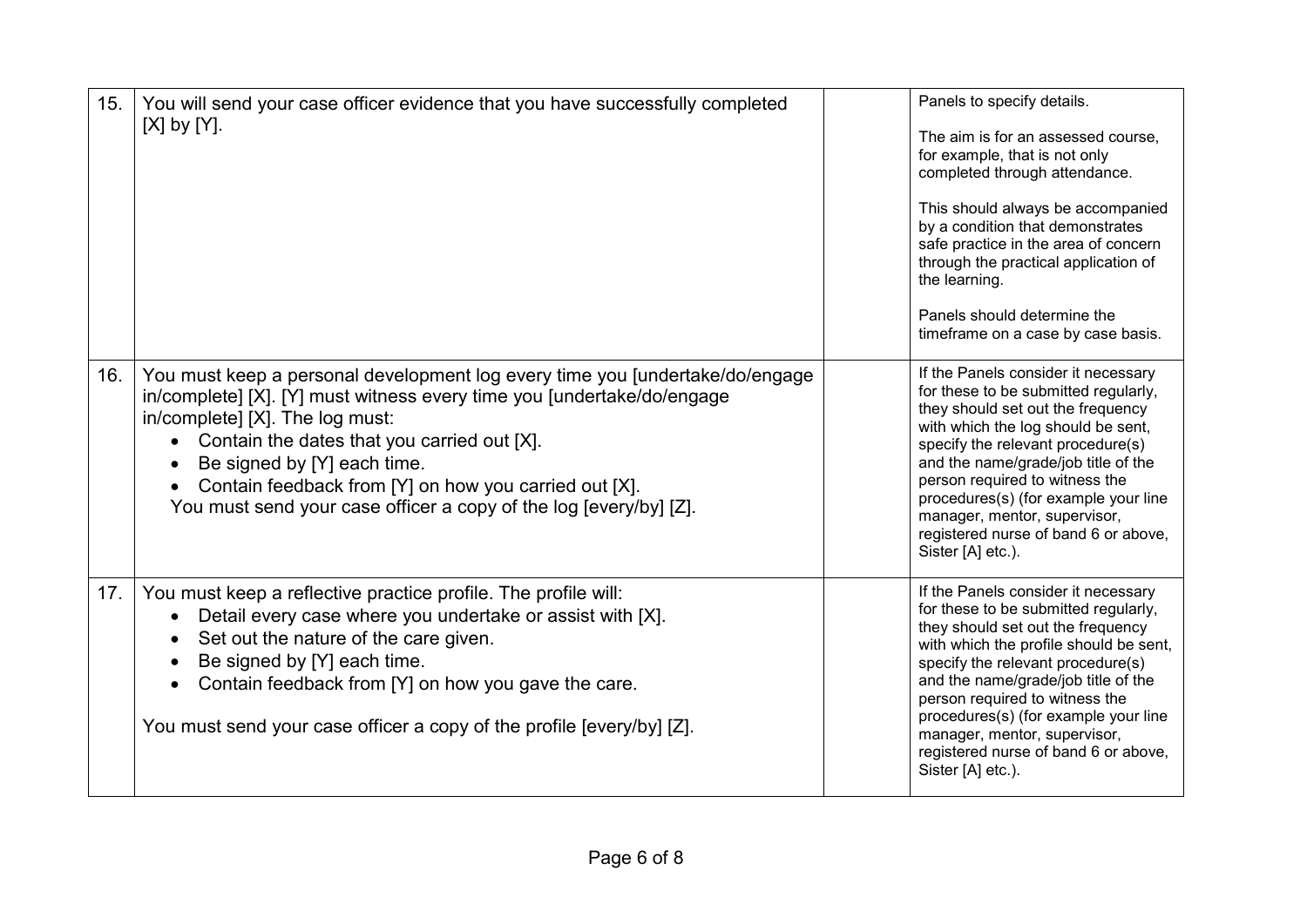| 15. | You will send your case officer evidence that you have successfully completed<br>$[X]$ by $[Y]$ .                                                                                                                                                                                                                                                                                                                  | Panels to specify details.<br>The aim is for an assessed course.<br>for example, that is not only<br>completed through attendance.<br>This should always be accompanied<br>by a condition that demonstrates<br>safe practice in the area of concern<br>through the practical application of<br>the learning.<br>Panels should determine the<br>timeframe on a case by case basis.                             |
|-----|--------------------------------------------------------------------------------------------------------------------------------------------------------------------------------------------------------------------------------------------------------------------------------------------------------------------------------------------------------------------------------------------------------------------|---------------------------------------------------------------------------------------------------------------------------------------------------------------------------------------------------------------------------------------------------------------------------------------------------------------------------------------------------------------------------------------------------------------|
| 16. | You must keep a personal development log every time you [undertake/do/engage<br>in/complete] [X]. [Y] must witness every time you [undertake/do/engage<br>in/complete] [X]. The log must:<br>Contain the dates that you carried out [X].<br>$\bullet$<br>Be signed by [Y] each time.<br>Contain feedback from [Y] on how you carried out [X].<br>You must send your case officer a copy of the log [every/by] [Z]. | If the Panels consider it necessary<br>for these to be submitted regularly,<br>they should set out the frequency<br>with which the log should be sent,<br>specify the relevant procedure(s)<br>and the name/grade/job title of the<br>person required to witness the<br>procedures(s) (for example your line<br>manager, mentor, supervisor,<br>registered nurse of band 6 or above,<br>Sister [A] etc.).     |
| 17. | You must keep a reflective practice profile. The profile will:<br>Detail every case where you undertake or assist with [X].<br>Set out the nature of the care given.<br>Be signed by [Y] each time.<br>Contain feedback from [Y] on how you gave the care.<br>You must send your case officer a copy of the profile [every/by] [Z].                                                                                | If the Panels consider it necessary<br>for these to be submitted regularly,<br>they should set out the frequency<br>with which the profile should be sent,<br>specify the relevant procedure(s)<br>and the name/grade/job title of the<br>person required to witness the<br>procedures(s) (for example your line<br>manager, mentor, supervisor,<br>registered nurse of band 6 or above,<br>Sister [A] etc.). |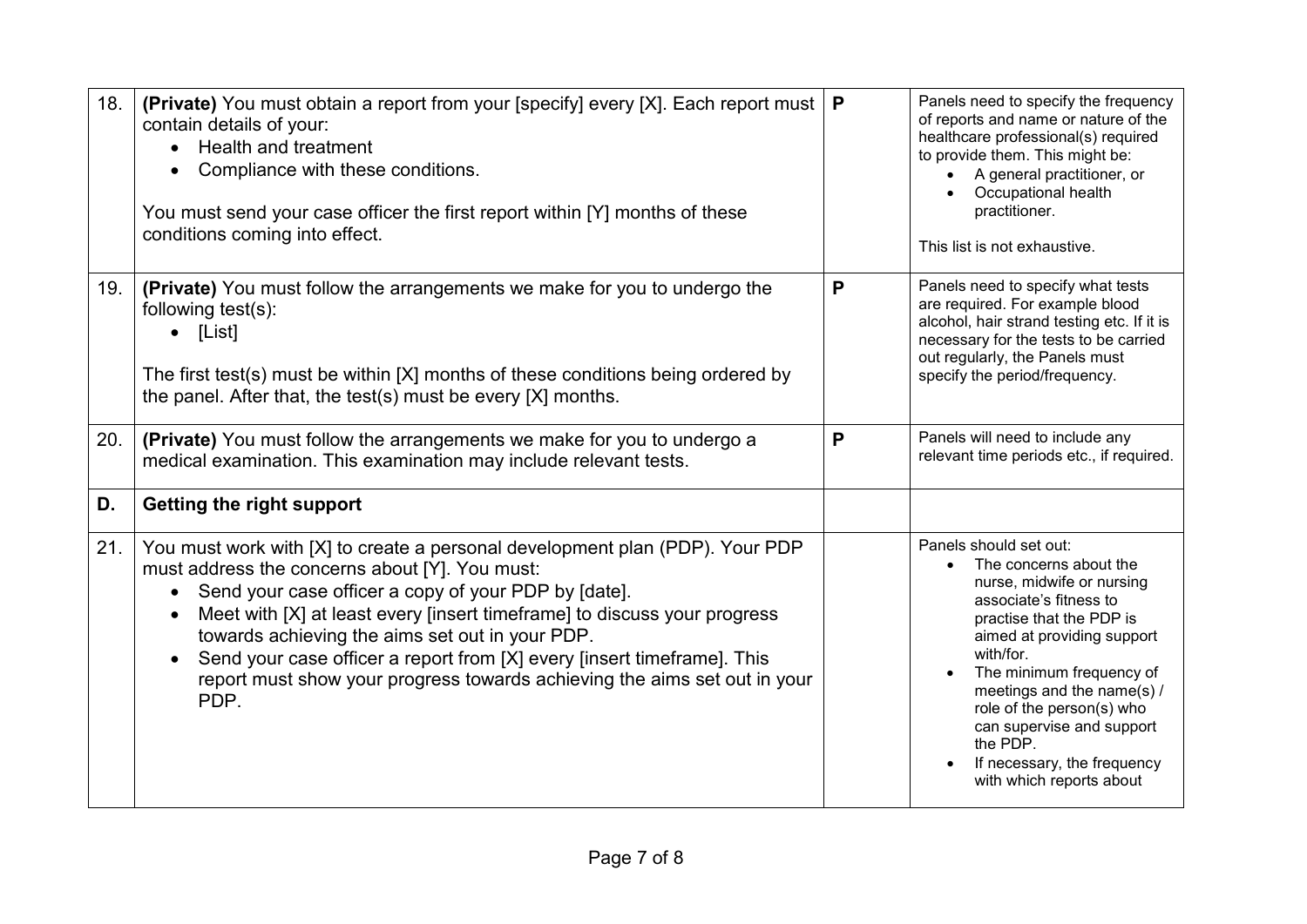| 18. | (Private) You must obtain a report from your [specify] every [X]. Each report must<br>contain details of your:<br>Health and treatment<br>Compliance with these conditions.<br>You must send your case officer the first report within [Y] months of these<br>conditions coming into effect.                                                                                                                                                                                                       | P | Panels need to specify the frequency<br>of reports and name or nature of the<br>healthcare professional(s) required<br>to provide them. This might be:<br>A general practitioner, or<br>Occupational health<br>practitioner.<br>This list is not exhaustive.                                                                                                                           |
|-----|----------------------------------------------------------------------------------------------------------------------------------------------------------------------------------------------------------------------------------------------------------------------------------------------------------------------------------------------------------------------------------------------------------------------------------------------------------------------------------------------------|---|----------------------------------------------------------------------------------------------------------------------------------------------------------------------------------------------------------------------------------------------------------------------------------------------------------------------------------------------------------------------------------------|
| 19. | (Private) You must follow the arrangements we make for you to undergo the<br>following test(s):<br>$\bullet$ [List]<br>The first test(s) must be within [X] months of these conditions being ordered by<br>the panel. After that, the test(s) must be every [X] months.                                                                                                                                                                                                                            | P | Panels need to specify what tests<br>are required. For example blood<br>alcohol, hair strand testing etc. If it is<br>necessary for the tests to be carried<br>out regularly, the Panels must<br>specify the period/frequency.                                                                                                                                                         |
| 20. | (Private) You must follow the arrangements we make for you to undergo a<br>medical examination. This examination may include relevant tests.                                                                                                                                                                                                                                                                                                                                                       | P | Panels will need to include any<br>relevant time periods etc., if required.                                                                                                                                                                                                                                                                                                            |
| D.  | Getting the right support                                                                                                                                                                                                                                                                                                                                                                                                                                                                          |   |                                                                                                                                                                                                                                                                                                                                                                                        |
| 21. | You must work with [X] to create a personal development plan (PDP). Your PDP<br>must address the concerns about [Y]. You must:<br>Send your case officer a copy of your PDP by [date].<br>$\bullet$<br>Meet with [X] at least every [insert timeframe] to discuss your progress<br>towards achieving the aims set out in your PDP.<br>Send your case officer a report from [X] every [insert timeframe]. This<br>report must show your progress towards achieving the aims set out in your<br>PDP. |   | Panels should set out:<br>The concerns about the<br>$\bullet$<br>nurse, midwife or nursing<br>associate's fitness to<br>practise that the PDP is<br>aimed at providing support<br>with/for.<br>The minimum frequency of<br>meetings and the name(s) /<br>role of the person(s) who<br>can supervise and support<br>the PDP.<br>If necessary, the frequency<br>with which reports about |